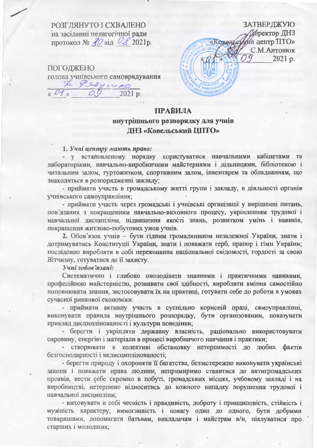РОЗГЛЯНУТО І СХВАЛЕНО на засіданні педагогічної ради протокол №  $30$ від  $0$  2021р.

ПОГОДЖЕНО голова учнівського самоврядування The Persyness  $\mu$  O1  $\mu$ 0. 2021 p.

ЗАТВЕРДЖУЮ **Директор ДНЗ** «Ковеньсткий центр ПТО» С.М.Антонюк 2021 p.

## **ПРАВИЛА** внутрішнього розпорядку для учнів ДНЗ «Ковельський ЦПТО»

## 1. Учні центру мають право:

- у встановленому порядку користуватися навчальними кабінетами та лабораторіями, навчально-виробничими майстернями і дільницями, бібліотекою і читальним залом, гуртожитком, спортивним залом, інвентарем та обладнанням, що знаходиться в розпорядженні закладу;

- приймати участь в громадському житті групи і закладу, в діяльності органів учнівського самоуправління;

- приймати участь через громадські і учнівські організації у вирішенні питань, пов'язаних з покращенням навчально-виховного процесу, укріпленням трудової і навчальної дисципліни, підвищення якості знань, розвитком умінь і навиків, покращення житлово-побутових умов учнів.

2. Обов'язок учнів - бути гідним громадянином незалежної України, знати і дотримуватись Конституції України, знати і поважати герб, прапор і гімн України; послідовно виробляти в собі переконання національної свідомості, гордості за свою Вітчизну, готуватися до її захисту.

Учні зобов'язані:

Систематично і глибоко оволодівати знаннями і практичними навиками, професійною майстерністю, розвивати свої здібності, виробляти вміння самостійно поповнювати знання, застосовувати їх на практиці, готувати себе до роботи в умовах сучасної ринкової економіки:

- приймати активну участь в суспільно корисній праці, самоуправлінні, виконувати правила внутрішнього розпорядку, бути організованим, показувати приклад дисциплінованості і культури поведінки;

- берегти і укріпляти державну власність, раціонально використовувати сировину, енергію і матеріали в процесі виробничого навчання і практики;

- створювати в колективі обстановку нетерпимості до любих фактів безгосподарності і недисциплінованості;

- берегти природу і охороняти її багатства, беззастережно виконувати українські закони і поважати права людини, непримиримо ставитися до антигромадських проявів, вести себе скромно в побуті, громадських місцях, учбовому закладі і на виробництві, нетерпимо відноситись до кожного випадку порушення трудової і навчальної дисципліни;

- виховувати в собі чесність і правдивість, доброту і принциповість, стійкість і мужність характеру, вимогливість і повагу один до одного, бути добрими товаришами, допомагати батькам, викладачам і майстрам в/н, піклуватися про старших і молодших;